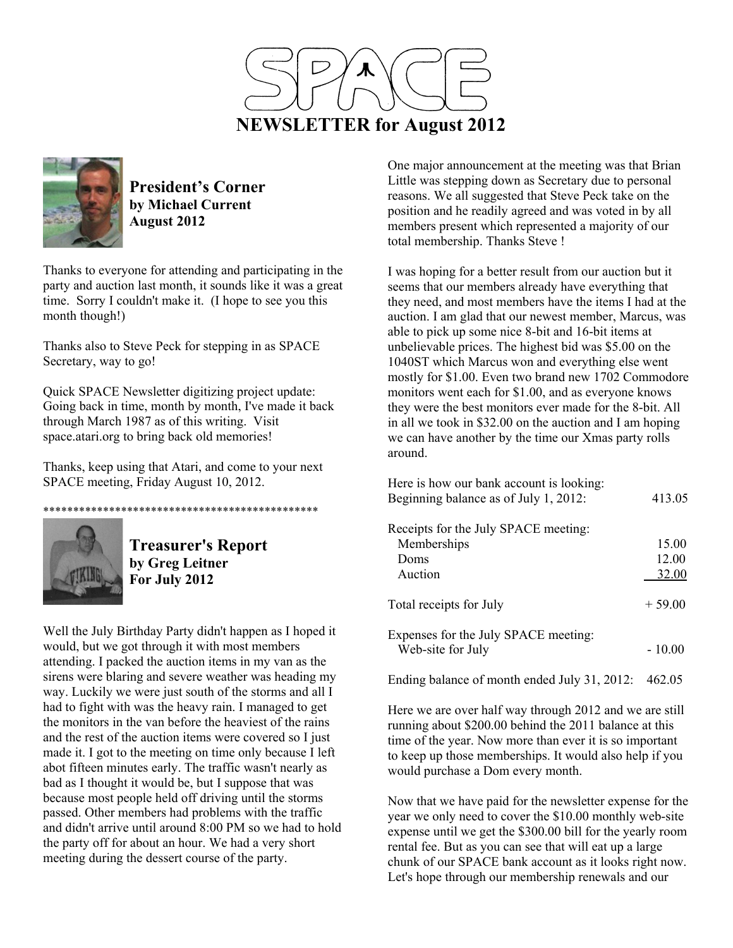



**President's Corner by Michael Current August 2012**

Thanks to everyone for attending and participating in the party and auction last month, it sounds like it was a great time. Sorry I couldn't make it. (I hope to see you this month though!)

Thanks also to Steve Peck for stepping in as SPACE Secretary, way to go!

Quick SPACE Newsletter digitizing project update: Going back in time, month by month, I've made it back through March 1987 as of this writing. Visit space.atari.org to bring back old memories!

Thanks, keep using that Atari, and come to your next SPACE meeting, Friday August 10, 2012.



**Treasurer's Report by Greg Leitner For July 2012** 

\*\*\*\*\*\*\*\*\*\*\*\*\*\*\*\*\*\*\*\*\*\*\*\*\*\*\*\*\*\*\*\*\*\*\*\*\*\*\*\*\*\*\*\*\*\*

Well the July Birthday Party didn't happen as I hoped it would, but we got through it with most members attending. I packed the auction items in my van as the sirens were blaring and severe weather was heading my way. Luckily we were just south of the storms and all I had to fight with was the heavy rain. I managed to get the monitors in the van before the heaviest of the rains and the rest of the auction items were covered so I just made it. I got to the meeting on time only because I left abot fifteen minutes early. The traffic wasn't nearly as bad as I thought it would be, but I suppose that was because most people held off driving until the storms passed. Other members had problems with the traffic and didn't arrive until around 8:00 PM so we had to hold the party off for about an hour. We had a very short meeting during the dessert course of the party.

One major announcement at the meeting was that Brian Little was stepping down as Secretary due to personal reasons. We all suggested that Steve Peck take on the position and he readily agreed and was voted in by all members present which represented a majority of our total membership. Thanks Steve !

I was hoping for a better result from our auction but it seems that our members already have everything that they need, and most members have the items I had at the auction. I am glad that our newest member, Marcus, was able to pick up some nice 8-bit and 16-bit items at unbelievable prices. The highest bid was \$5.00 on the 1040ST which Marcus won and everything else went mostly for \$1.00. Even two brand new 1702 Commodore monitors went each for \$1.00, and as everyone knows they were the best monitors ever made for the 8-bit. All in all we took in \$32.00 on the auction and I am hoping we can have another by the time our Xmas party rolls around.

| Here is how our bank account is looking:<br>Beginning balance as of July 1, 2012: | 413.05   |
|-----------------------------------------------------------------------------------|----------|
| Receipts for the July SPACE meeting:                                              |          |
| Memberships                                                                       | 15.00    |
| Doms                                                                              | 12.00    |
| Auction                                                                           | 32.00    |
| Total receipts for July                                                           | $+59.00$ |
| Expenses for the July SPACE meeting:<br>Web-site for July                         | - 10 00  |

Ending balance of month ended July 31, 2012: 462.05

Here we are over half way through 2012 and we are still running about \$200.00 behind the 2011 balance at this time of the year. Now more than ever it is so important to keep up those memberships. It would also help if you would purchase a Dom every month.

Now that we have paid for the newsletter expense for the year we only need to cover the \$10.00 monthly web-site expense until we get the \$300.00 bill for the yearly room rental fee. But as you can see that will eat up a large chunk of our SPACE bank account as it looks right now. Let's hope through our membership renewals and our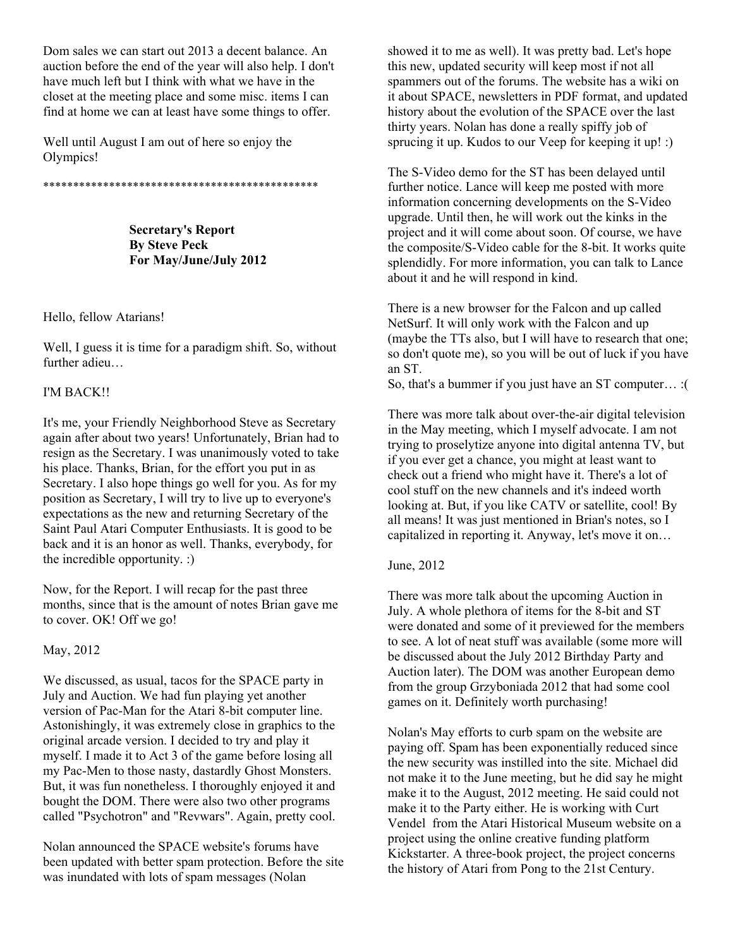Dom sales we can start out 2013 a decent balance. An auction before the end of the year will also help. I don't have much left but I think with what we have in the closet at the meeting place and some misc. items I can find at home we can at least have some things to offer.

Well until August I am out of here so enjoy the Olympics!

\*\*\*\*\*\*\*\*\*\*\*\*\*\*\*\*\*\*\*\*\*\*\*\*\*\*\*\*\*\*\*\*\*\*\*\*\*\*\*\*\*\*\*\*\*\*

**Secretary's Report By Steve Peck For May/June/July 2012** 

#### Hello, fellow Atarians!

Well, I guess it is time for a paradigm shift. So, without further adieu…

## I'M BACK!!

It's me, your Friendly Neighborhood Steve as Secretary again after about two years! Unfortunately, Brian had to resign as the Secretary. I was unanimously voted to take his place. Thanks, Brian, for the effort you put in as Secretary. I also hope things go well for you. As for my position as Secretary, I will try to live up to everyone's expectations as the new and returning Secretary of the Saint Paul Atari Computer Enthusiasts. It is good to be back and it is an honor as well. Thanks, everybody, for the incredible opportunity. :)

Now, for the Report. I will recap for the past three months, since that is the amount of notes Brian gave me to cover. OK! Off we go!

#### May, 2012

We discussed, as usual, tacos for the SPACE party in July and Auction. We had fun playing yet another version of Pac-Man for the Atari 8-bit computer line. Astonishingly, it was extremely close in graphics to the original arcade version. I decided to try and play it myself. I made it to Act 3 of the game before losing all my Pac-Men to those nasty, dastardly Ghost Monsters. But, it was fun nonetheless. I thoroughly enjoyed it and bought the DOM. There were also two other programs called "Psychotron" and "Revwars". Again, pretty cool.

Nolan announced the SPACE website's forums have been updated with better spam protection. Before the site was inundated with lots of spam messages (Nolan

showed it to me as well). It was pretty bad. Let's hope this new, updated security will keep most if not all spammers out of the forums. The website has a wiki on it about SPACE, newsletters in PDF format, and updated history about the evolution of the SPACE over the last thirty years. Nolan has done a really spiffy job of sprucing it up. Kudos to our Veep for keeping it up! :)

The S-Video demo for the ST has been delayed until further notice. Lance will keep me posted with more information concerning developments on the S-Video upgrade. Until then, he will work out the kinks in the project and it will come about soon. Of course, we have the composite/S-Video cable for the 8-bit. It works quite splendidly. For more information, you can talk to Lance about it and he will respond in kind.

There is a new browser for the Falcon and up called NetSurf. It will only work with the Falcon and up (maybe the TTs also, but I will have to research that one; so don't quote me), so you will be out of luck if you have an ST.

So, that's a bummer if you just have an ST computer… :(

There was more talk about over-the-air digital television in the May meeting, which I myself advocate. I am not trying to proselytize anyone into digital antenna TV, but if you ever get a chance, you might at least want to check out a friend who might have it. There's a lot of cool stuff on the new channels and it's indeed worth looking at. But, if you like CATV or satellite, cool! By all means! It was just mentioned in Brian's notes, so I capitalized in reporting it. Anyway, let's move it on…

June, 2012

There was more talk about the upcoming Auction in July. A whole plethora of items for the 8-bit and ST were donated and some of it previewed for the members to see. A lot of neat stuff was available (some more will be discussed about the July 2012 Birthday Party and Auction later). The DOM was another European demo from the group Grzyboniada 2012 that had some cool games on it. Definitely worth purchasing!

Nolan's May efforts to curb spam on the website are paying off. Spam has been exponentially reduced since the new security was instilled into the site. Michael did not make it to the June meeting, but he did say he might make it to the August, 2012 meeting. He said could not make it to the Party either. He is working with Curt Vendel from the Atari Historical Museum website on a project using the online creative funding platform Kickstarter. A three-book project, the project concerns the history of Atari from Pong to the 21st Century.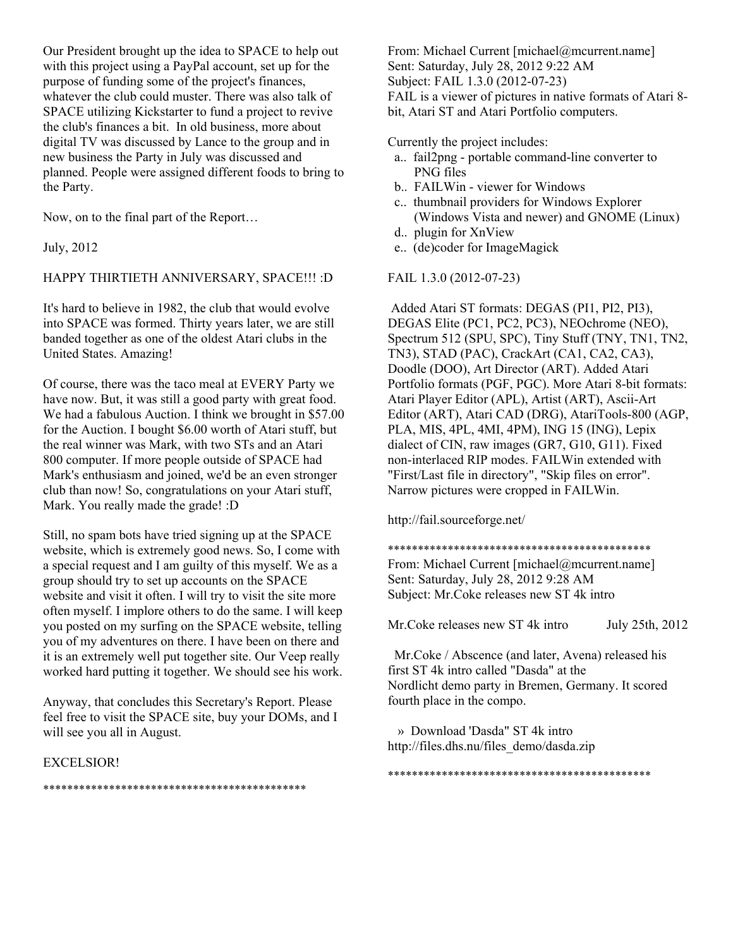Our President brought up the idea to SPACE to help out with this project using a PayPal account, set up for the purpose of funding some of the project's finances, whatever the club could muster. There was also talk of SPACE utilizing Kickstarter to fund a project to revive the club's finances a bit. In old business, more about digital TV was discussed by Lance to the group and in new business the Party in July was discussed and planned. People were assigned different foods to bring to the Party.

Now, on to the final part of the Report…

July, 2012

# HAPPY THIRTIETH ANNIVERSARY, SPACE!!! :D

It's hard to believe in 1982, the club that would evolve into SPACE was formed. Thirty years later, we are still banded together as one of the oldest Atari clubs in the United States. Amazing!

Of course, there was the taco meal at EVERY Party we have now. But, it was still a good party with great food. We had a fabulous Auction. I think we brought in \$57.00 for the Auction. I bought \$6.00 worth of Atari stuff, but the real winner was Mark, with two STs and an Atari 800 computer. If more people outside of SPACE had Mark's enthusiasm and joined, we'd be an even stronger club than now! So, congratulations on your Atari stuff, Mark. You really made the grade! :D

Still, no spam bots have tried signing up at the SPACE website, which is extremely good news. So, I come with a special request and I am guilty of this myself. We as a group should try to set up accounts on the SPACE website and visit it often. I will try to visit the site more often myself. I implore others to do the same. I will keep you posted on my surfing on the SPACE website, telling you of my adventures on there. I have been on there and it is an extremely well put together site. Our Veep really worked hard putting it together. We should see his work.

Anyway, that concludes this Secretary's Report. Please feel free to visit the SPACE site, buy your DOMs, and I will see you all in August.

#### EXCELSIOR!

From: Michael Current [michael@mcurrent.name] Sent: Saturday, July 28, 2012 9:22 AM Subject: FAIL 1.3.0 (2012-07-23) FAIL is a viewer of pictures in native formats of Atari 8 bit, Atari ST and Atari Portfolio computers.

Currently the project includes:

- a.. fail2png portable command-line converter to PNG files
- b.. FAILWin viewer for Windows
- c.. thumbnail providers for Windows Explorer (Windows Vista and newer) and GNOME (Linux)
- d.. plugin for XnView
- e.. (de)coder for ImageMagick

## FAIL 1.3.0 (2012-07-23)

 Added Atari ST formats: DEGAS (PI1, PI2, PI3), DEGAS Elite (PC1, PC2, PC3), NEOchrome (NEO), Spectrum 512 (SPU, SPC), Tiny Stuff (TNY, TN1, TN2, TN3), STAD (PAC), CrackArt (CA1, CA2, CA3), Doodle (DOO), Art Director (ART). Added Atari Portfolio formats (PGF, PGC). More Atari 8-bit formats: Atari Player Editor (APL), Artist (ART), Ascii-Art Editor (ART), Atari CAD (DRG), AtariTools-800 (AGP, PLA, MIS, 4PL, 4MI, 4PM), ING 15 (ING), Lepix dialect of CIN, raw images (GR7, G10, G11). Fixed non-interlaced RIP modes. FAILWin extended with "First/Last file in directory", "Skip files on error". Narrow pictures were cropped in FAILWin.

http://fail.sourceforge.net/

#### \*\*\*\*\*\*\*\*\*\*\*\*\*\*\*\*\*\*\*\*\*\*\*\*\*\*\*\*\*\*\*\*\*\*\*\*\*\*\*\*\*\*\*\*

From: Michael Current [michael@mcurrent.name] Sent: Saturday, July 28, 2012 9:28 AM Subject: Mr.Coke releases new ST 4k intro

Mr. Coke releases new ST 4k intro July 25th, 2012

 Mr.Coke / Abscence (and later, Avena) released his first ST 4k intro called "Dasda" at the Nordlicht demo party in Bremen, Germany. It scored fourth place in the compo.

\*\*\*\*\*\*\*\*\*\*\*\*\*\*\*\*\*\*\*\*\*\*\*\*\*\*\*\*\*\*\*\*\*\*\*\*\*\*\*\*\*\*\*\*

 » Download 'Dasda" ST 4k intro http://files.dhs.nu/files\_demo/dasda.zip

\*\*\*\*\*\*\*\*\*\*\*\*\*\*\*\*\*\*\*\*\*\*\*\*\*\*\*\*\*\*\*\*\*\*\*\*\*\*\*\*\*\*\*\*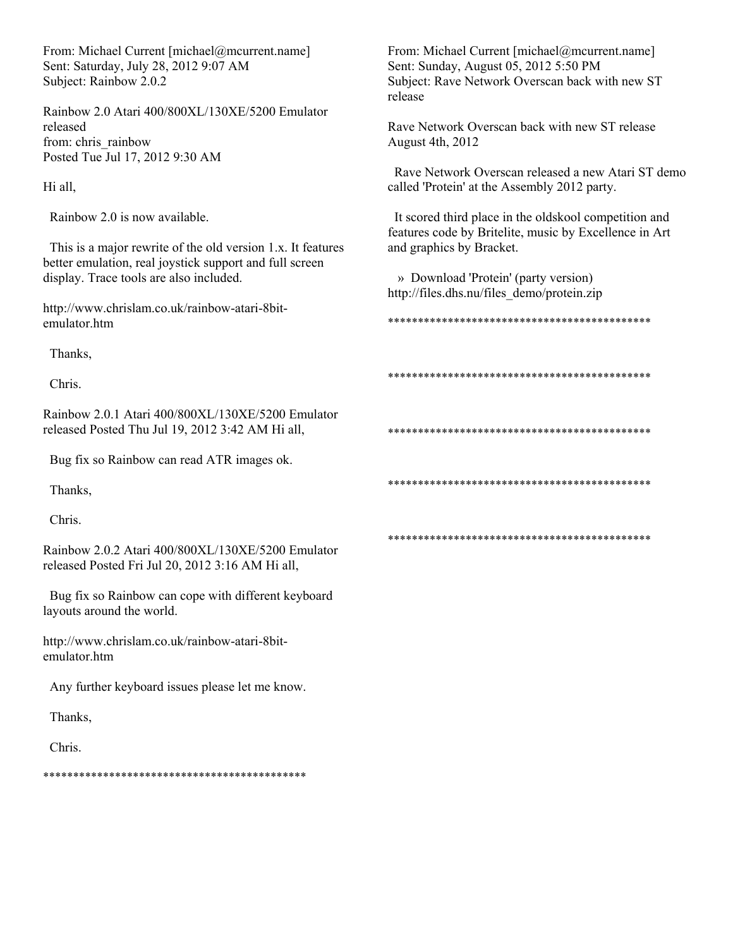From: Michael Current [michael@mcurrent.name] Sent: Saturday, July 28, 2012 9:07 AM Subject: Rainbow 2.0.2

Rainbow 2.0 Atari 400/800XL/130XE/5200 Emulator released from: chris\_rainbow Posted Tue Jul 17, 2012 9:30 AM

Hi all,

Rainbow 2.0 is now available.

 This is a major rewrite of the old version 1.x. It features better emulation, real joystick support and full screen display. Trace tools are also included.

http://www.chrislam.co.uk/rainbow-atari-8bitemulator.htm

Thanks,

Chris.

Rainbow 2.0.1 Atari 400/800XL/130XE/5200 Emulator released Posted Thu Jul 19, 2012 3:42 AM Hi all,

Bug fix so Rainbow can read ATR images ok.

Thanks,

Chris.

Rainbow 2.0.2 Atari 400/800XL/130XE/5200 Emulator released Posted Fri Jul 20, 2012 3:16 AM Hi all,

 Bug fix so Rainbow can cope with different keyboard layouts around the world.

http://www.chrislam.co.uk/rainbow-atari-8bitemulator.htm

Any further keyboard issues please let me know.

Thanks,

Chris.

\*\*\*\*\*\*\*\*\*\*\*\*\*\*\*\*\*\*\*\*\*\*\*\*\*\*\*\*\*\*\*\*\*\*\*\*\*\*\*\*\*\*\*\*

From: Michael Current [michael@mcurrent.name] Sent: Sunday, August 05, 2012 5:50 PM Subject: Rave Network Overscan back with new ST release

Rave Network Overscan back with new ST release August 4th, 2012

 Rave Network Overscan released a new Atari ST demo called 'Protein' at the Assembly 2012 party.

 It scored third place in the oldskool competition and features code by Britelite, music by Excellence in Art and graphics by Bracket.

 » Download 'Protein' (party version) http://files.dhs.nu/files\_demo/protein.zip

\*\*\*\*\*\*\*\*\*\*\*\*\*\*\*\*\*\*\*\*\*\*\*\*\*\*\*\*\*\*\*\*\*\*\*\*\*\*\*\*\*\*\*\*

\*\*\*\*\*\*\*\*\*\*\*\*\*\*\*\*\*\*\*\*\*\*\*\*\*\*\*\*\*\*\*\*\*\*\*\*\*\*\*\*\*\*\*\*

\*\*\*\*\*\*\*\*\*\*\*\*\*\*\*\*\*\*\*\*\*\*\*\*\*\*\*\*\*\*\*\*\*\*\*\*\*\*\*\*\*\*\*\*

\*\*\*\*\*\*\*\*\*\*\*\*\*\*\*\*\*\*\*\*\*\*\*\*\*\*\*\*\*\*\*\*\*\*\*\*\*\*\*\*\*\*\*\*

\*\*\*\*\*\*\*\*\*\*\*\*\*\*\*\*\*\*\*\*\*\*\*\*\*\*\*\*\*\*\*\*\*\*\*\*\*\*\*\*\*\*\*\*